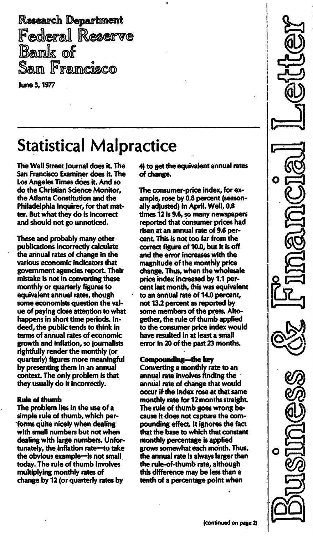Research Department<br>Federal Reserve<br>Bank of Sam Framcisco

June 3, 1977

# **Statistical Malpractice**

The Wall Street Journal does it. The San Francisco Examiner does it. The Los Angeles Times does it. And so do the Christian Science Monitor, the Atlanta Constitution and the Philadelphia Inquirer, for that matter. But what they do is incorrect and should not go unnoticed.

These and probably many other publications incorrectly calculate the annual rates of change in the various economic indicators that government agencies report. Their mistake is not in converting these monthly or quarterly figures to equivalent annual rates, though some economists question the value of paying close attention to what happens in short time periods. Indeed, the public tends to think in terms of annual rates of economic growth and inflation, so journalists rightfully render the monthly (or quarterly) figures more meaningful by presenting them in an annual context. The only problem is that they usually do it incorrectly.

## Ruie of thumb

The problem lies in the use of a simple rule of thumb, which per- 'forms quite nicely when dealing with small numbers but not when dealing with large numbers. Unfortunately, the inflation rate-to take the obvious example--is not small today. The rule of thumb involves multiplying monthly rates of change by 12 (or quarterly rates by

4) to get the equivalent annual rates of change.

The consumer-price index, for example, rose by 0.8 percent (seasonally adjusted) in April. Well, 0.8 times 12 is 9.6, so many newspapers reported that consumer prices had risen at an annual rate of 9.6 percent. This is not too far from the correct figure of 10.0, but it is off and the error increases with the magnitude of the monthly price change. Thus, when the wholesale price index increased by 1.1 percent last month, this was equivalent to an annual rate of 14.0 percent, not 13.2 percent as reported by some members of the press. Altogether, the rule of thumb applied to the consumer price index would have resulted in at least a smaIi error in 20 of the past 23 months.

## Compounding--the key

Converting a monthly rate to an annual rate involves finding the annual rate of change that would occur if the index rose at that same monthly rate for 12 months straight. The rule of thumb goes wrong because it does not capture the compounding effect. It ignores the fact that the base to which that constant monthly percentage is applied grows somewhat each month. Thus, the annual rate is always larger than the rule-of-thumb rate, although this difference may be less than a tenth of a percentage point when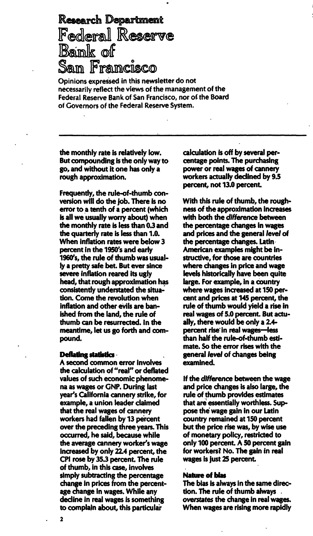Research Department Federal Reserve Baink of Sam Francisco

Opinions expressed in this newsletter do not necessarilv reflect the views of the management of the Federal Reserve Bank of San Francisco, nor of the Board of Governors of the Federai Reserve System.

the monthly rate is relatively low. But compounding is the only way to go, and without it one has only a rough approximation.

Frequently, the rule-of-thumb conversion will do the job. There is no error to a tenth of a percent (which is all we usually worry about) when the monthly rate is less than 0.3 and the quarterly rate is less than 1.0. When inflation rates were below 3 percent in the 1950's and early 1960's, the rule of thumb was usually a pretty safe bet. But ever since severe inflation reared its ugly head, that rough approximation has consistently understated the situation. Come the revolution when inflation and other evils are banished from the land, the rule of thumb can be resurrected. In the meantime, let us go forth and compound.

#### Deflating statistics .

A second common error involves the calculation of "real" or deflated values of such economic phenomena as wages or GNP. During last year's California cannery strike, for example, a union leader claimed that the real wages of cannery workers had fallen by 13 percent over the preceding three years. This occurred, he said, because while the average cannery worker's wage increased by only 22.4 percent, the CPI rose by 35.3 percent. The rule of thumb, in this case, involves simply subtracting the percentage change in prices from the percentage change in wages. While any decline in real wages is something to complain about, this particular

calculation is off by several percentage points. The purchasing power or real wages of cannery workers actually declined by 9.5 percent, not 13.0 percent.

With this rule of thumb, the roughness of the approximation increases with both the difference between the percentage changes in wages and prices and the general level of the percentage changes. Latin American examples might be instructive, for those are countries where changes in price and wage levels historically have been quite large. For example, in a country where wages increased at 150 percent and prices at 145 percent, the rule of thumb would yield a rise in real wages of 5.0 percent. But actually, there would be only a 2.4 percent rise in real wages-less than half the rule-of-thumb estimate. So the error rises with the general level of changes being examined.

If the difference between the wage and price changes is also large, the rule of thumb provides estimates that are essentially worthless. Suppose the' wage gain in our Latin country remained at 150 percent but the price rise was, by wise use of monetary policy, restricted to only 100 percent. A 50 percent gain for workers? No. The gain in real wages is just 25 percent.

#### Nature of bias

The bias is always in the same direction. The rule of thumb always overstates the change in real wages. When wages are rising more rapidly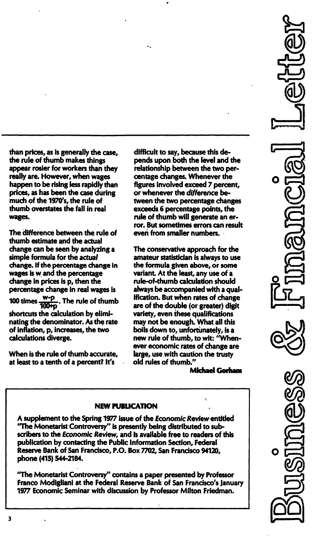than prices, as is generally the case, the rule of thumb makes things appear rosier for workers than they really are. However, when wages happen to be rising less rapidly than prices, as has been the case during much of the 1970's, the rule of thumb overstates the fall in real wages.

The difference between the rule of thumb estimate and the actual change can be seen by analyzing a simple formula for the actual change. If the percentage change in wages is wand the percentage change in prices is p, then the percentage change in real wages is . The rule of thumb 100 times  $\frac{100+p}{100+p}$ shortcuts the calculation by eliminating the denominator. As the rate of inflation, p, increases, the two calculations diverge.

When is the rule of thumb accurate, at least to a tenth of a percent? It's

difficult to say, because this depends upon both the level and the relationship between the two percentage changes. Whenever the figures involved exceed 7 percent, or whenever the difference between the two percentage changes exceeds 6 percentage points, the rule of thumb will generate an error. But sometimes errors can result even from smaller numbers.

The conservative approach for the amateur statistician is always to use the formula given above, or some variant. At the least, any use of a rule-of-thumb calculation should always be accompanied with a qualification. But when rates of change are of the double (or greater) digit variety, even these qualifications may not be enough. What all this boils down to, unfortunately, is a new rule of thumb, to wit: "Whenever economic rates of change are large, use with caution the trusty old rules of thumb."

Michael Gorham

## **NEW PUBLICATION**

A supplement to the Spring 1977 issue of the Economic Review entitled "The Monetarist Controversy" is presently being distributed to subscribers to the Economic Review, and is available free to readers of this publication by contacting the Public Information Section, Federal Reserve Bank of San Francisco, P.O. Box 7702, San Francisco 94120, phone (415) 544-2184.

"The Monetarist Controversy" contains a paper presented by Professor Franco Modigliani at the Federal Reserve Bank of San Francisco's January 1977 Economic Seminar with discussion by Professor Milton Friedman.